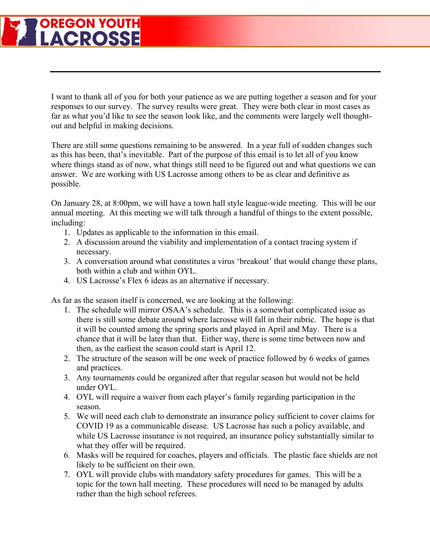## **OREGON YOUTH LACROSSE**

I want to thank all of you for both your patience as we are putting together a season and for your responses to our survey. The survey results were great. They were both clear in most cases as far as what you'd like to see the season look like, and the comments were largely well thoughtout and helpful in making decisions.

There are still some questions remaining to be answered. In a year full of sudden changes such as this has been, that's inevitable. Part of the purpose of this email is to let all of you know where things stand as of now, what things still need to be figured out and what questions we can answer. We are working with US Lacrosse among others to be as clear and definitive as possible.

On January 28, at 8:00pm, we will have a town hall style league-wide meeting. This will be our annual meeting. At this meeting we will talk through a handful of things to the extent possible, including:

- 1. Updates as applicable to the information in this email.
- 2. A discussion around the viability and implementation of a contact tracing system if necessary.
- 3. A conversation around what constitutes a virus 'breakout' that would change these plans, both within a club and within OYL.
- 4. US Lacrosse's Flex 6 ideas as an alternative if necessary.

As far as the season itself is concerned, we are looking at the following:

- 1. The schedule will mirror OSAA's schedule. This is a somewhat complicated issue as there is still some debate around where lacrosse will fall in their rubric. The hope is that it will be counted among the spring sports and played in April and May. There is a chance that it will be later than that. Either way, there is some time between now and then, as the earliest the season could start is April 12.
- 2. The structure of the season will be one week of practice followed by 6 weeks of games and practices.
- 3. Any tournaments could be organized after that regular season but would not be held under OYL.
- 4. OYL will require a waiver from each player's family regarding participation in the season.
- 5. We will need each club to demonstrate an insurance policy sufficient to cover claims for COVID 19 as a communicable disease. US Lacrosse has such a policy available, and while US Lacrosse insurance is not required, an insurance policy substantially similar to what they offer will be required.
- 6. Masks will be required for coaches, players and officials. The plastic face shields are not likely to be sufficient on their own.
- 7. OYL will provide clubs with mandatory safety procedures for games. This will be a topic for the town hall meeting. These procedures will need to be managed by adults rather than the high school referees.